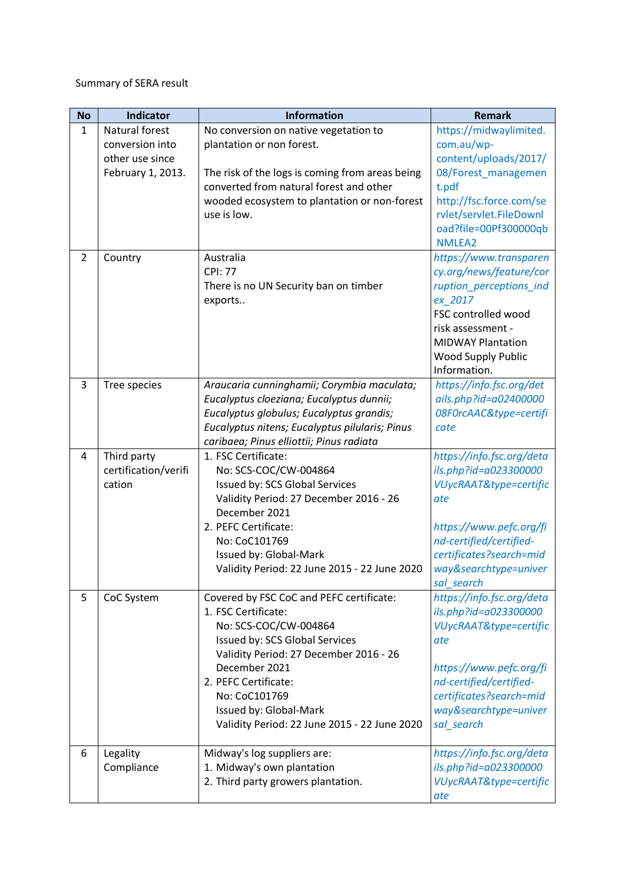## Summary of SERA result

| <b>No</b>      | <b>Indicator</b>     | <b>Information</b>                              | <b>Remark</b>             |
|----------------|----------------------|-------------------------------------------------|---------------------------|
| $\mathbf{1}$   | Natural forest       | No conversion on native vegetation to           | https://midwaylimited.    |
|                | conversion into      | plantation or non forest.                       | com.au/wp-                |
|                | other use since      |                                                 | content/uploads/2017/     |
|                | February 1, 2013.    | The risk of the logs is coming from areas being | 08/Forest_managemen       |
|                |                      | converted from natural forest and other         | t.pdf                     |
|                |                      | wooded ecosystem to plantation or non-forest    | http://fsc.force.com/se   |
|                |                      | use is low.                                     | rvlet/servlet.FileDownl   |
|                |                      |                                                 | oad?file=00Pf300000qb     |
|                |                      |                                                 | NMLEA2                    |
| $\overline{2}$ | Country              | Australia                                       | https://www.transparen    |
|                |                      | <b>CPI: 77</b>                                  | cy.org/news/feature/cor   |
|                |                      | There is no UN Security ban on timber           | ruption_perceptions_ind   |
|                |                      | exports                                         | ex 2017                   |
|                |                      |                                                 | FSC controlled wood       |
|                |                      |                                                 | risk assessment -         |
|                |                      |                                                 | <b>MIDWAY Plantation</b>  |
|                |                      |                                                 | Wood Supply Public        |
|                |                      |                                                 | Information.              |
| 3              | Tree species         | Araucaria cunninghamii; Corymbia maculata;      | https://info.fsc.org/det  |
|                |                      | Eucalyptus cloeziana; Eucalyptus dunnii;        | ails.php?id=a02400000     |
|                |                      | Eucalyptus globulus; Eucalyptus grandis;        | 08F0rcAAC&type=certifi    |
|                |                      | Eucalyptus nitens; Eucalyptus pilularis; Pinus  | cate                      |
|                |                      | caribaea; Pinus elliottii; Pinus radiata        |                           |
| 4              | Third party          | 1. FSC Certificate:                             | https://info.fsc.org/deta |
|                | certification/verifi | No: SCS-COC/CW-004864                           | ils.php?id=a023300000     |
|                | cation               | Issued by: SCS Global Services                  | VUycRAAT&type=certific    |
|                |                      | Validity Period: 27 December 2016 - 26          | ate                       |
|                |                      | December 2021                                   |                           |
|                |                      | 2. PEFC Certificate:                            | https://www.pefc.org/fi   |
|                |                      | No: CoC101769                                   | nd-certified/certified-   |
|                |                      | Issued by: Global-Mark                          | certificates?search=mid   |
|                |                      | Validity Period: 22 June 2015 - 22 June 2020    | way&searchtype=univer     |
|                |                      |                                                 | sal search                |
| 5              | CoC System           | Covered by FSC CoC and PEFC certificate:        | https://info.fsc.org/deta |
|                |                      | 1. FSC Certificate:                             | ils.php?id=a023300000     |
|                |                      | No: SCS-COC/CW-004864                           | VUycRAAT&type=certific    |
|                |                      | Issued by: SCS Global Services                  | ate                       |
|                |                      | Validity Period: 27 December 2016 - 26          |                           |
|                |                      | December 2021                                   | https://www.pefc.org/fi   |
|                |                      | 2. PEFC Certificate:                            | nd-certified/certified-   |
|                |                      | No: CoC101769                                   | certificates?search=mid   |
|                |                      | Issued by: Global-Mark                          | way&searchtype=univer     |
|                |                      | Validity Period: 22 June 2015 - 22 June 2020    | sal_search                |
|                |                      |                                                 |                           |
| 6              | Legality             | Midway's log suppliers are:                     | https://info.fsc.org/deta |
|                | Compliance           | 1. Midway's own plantation                      | ils.php?id=a023300000     |
|                |                      | 2. Third party growers plantation.              | VUycRAAT&type=certific    |
|                |                      |                                                 | ate                       |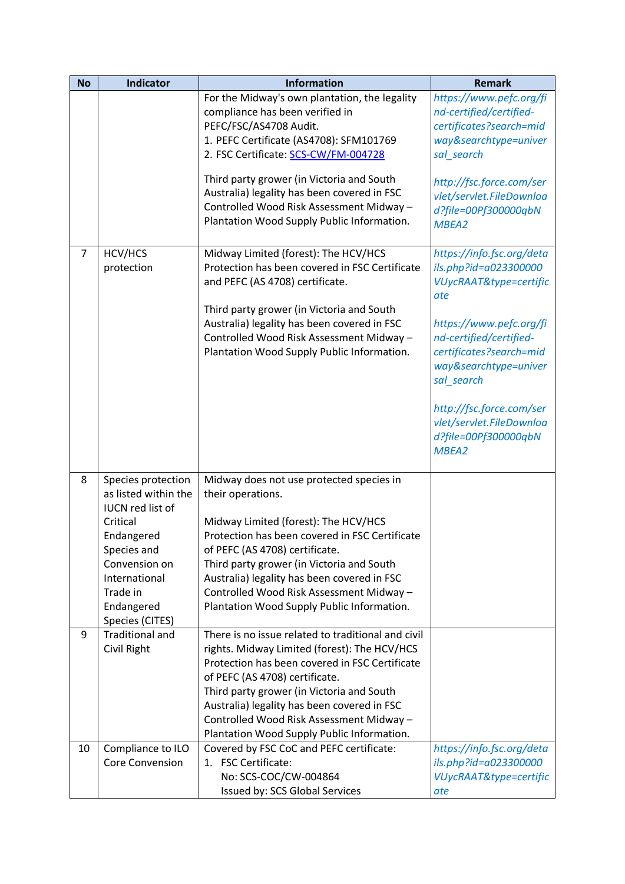| <b>No</b>      | <b>Indicator</b>                                                            | <b>Information</b>                                                                                                                                                                            | <b>Remark</b>                                                                                                        |
|----------------|-----------------------------------------------------------------------------|-----------------------------------------------------------------------------------------------------------------------------------------------------------------------------------------------|----------------------------------------------------------------------------------------------------------------------|
|                |                                                                             | For the Midway's own plantation, the legality<br>compliance has been verified in<br>PEFC/FSC/AS4708 Audit.<br>1. PEFC Certificate (AS4708): SFM101769<br>2. FSC Certificate: SCS-CW/FM-004728 | https://www.pefc.org/fi<br>nd-certified/certified-<br>certificates?search=mid<br>way&searchtype=univer<br>sal_search |
|                |                                                                             | Third party grower (in Victoria and South<br>Australia) legality has been covered in FSC<br>Controlled Wood Risk Assessment Midway -<br>Plantation Wood Supply Public Information.            | http://fsc.force.com/ser<br>vlet/servlet.FileDownloa<br>d?file=00Pf300000qbN<br>MBEA2                                |
| $\overline{7}$ | HCV/HCS<br>protection                                                       | Midway Limited (forest): The HCV/HCS<br>Protection has been covered in FSC Certificate<br>and PEFC (AS 4708) certificate.<br>Third party grower (in Victoria and South                        | https://info.fsc.org/deta<br>ils.php?id=a023300000<br>VUycRAAT&type=certific<br>ate                                  |
|                |                                                                             | Australia) legality has been covered in FSC<br>Controlled Wood Risk Assessment Midway -<br>Plantation Wood Supply Public Information.                                                         | https://www.pefc.org/fi<br>nd-certified/certified-<br>certificates?search=mid<br>way&searchtype=univer<br>sal_search |
|                |                                                                             |                                                                                                                                                                                               | http://fsc.force.com/ser<br>vlet/servlet.FileDownloa<br>d?file=00Pf300000qbN<br>MBEA2                                |
| 8              | Species protection<br>as listed within the<br><b>IUCN red list of</b>       | Midway does not use protected species in<br>their operations.                                                                                                                                 |                                                                                                                      |
|                | Critical<br>Endangered<br>Species and                                       | Midway Limited (forest): The HCV/HCS<br>Protection has been covered in FSC Certificate<br>of PEFC (AS 4708) certificate.                                                                      |                                                                                                                      |
|                | Convension on<br>International<br>Trade in<br>Endangered<br>Species (CITES) | Third party grower (in Victoria and South<br>Australia) legality has been covered in FSC<br>Controlled Wood Risk Assessment Midway -<br>Plantation Wood Supply Public Information.            |                                                                                                                      |
| 9              | <b>Traditional and</b><br>Civil Right                                       | There is no issue related to traditional and civil<br>rights. Midway Limited (forest): The HCV/HCS<br>Protection has been covered in FSC Certificate<br>of PEFC (AS 4708) certificate.        |                                                                                                                      |
|                |                                                                             | Third party grower (in Victoria and South<br>Australia) legality has been covered in FSC<br>Controlled Wood Risk Assessment Midway -<br>Plantation Wood Supply Public Information.            |                                                                                                                      |
| 10             | Compliance to ILO<br><b>Core Convension</b>                                 | Covered by FSC CoC and PEFC certificate:<br>1. FSC Certificate:<br>No: SCS-COC/CW-004864<br>Issued by: SCS Global Services                                                                    | https://info.fsc.org/deta<br>ils.php?id=a023300000<br>VUycRAAT&type=certific<br>ate                                  |